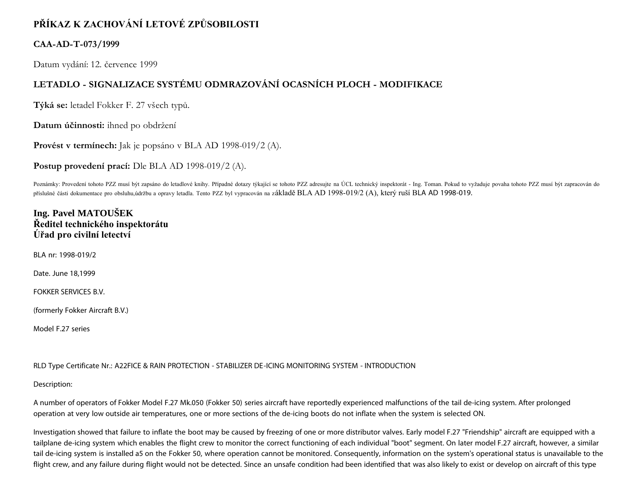# **PŘÍKAZ K ZACHOVÁNÍ LETOVÉ ZPŮSOBILOSTI**

## **CAA-AD-T-073/1999**

Datum vydání: 12. července 1999

# **LETADLO - SIGNALIZACE SYSTÉMU ODMRAZOVÁNÍ OCASNÍCH PLOCH - MODIFIKACE**

**Týká se:** letadel Fokker F. 27 všech typů.

**Datum účinnosti:** ihned po obdržení

**Provést v termínech:** Jak je popsáno v BLA AD 1998-019/2 (A).

**Postup provedení prací:** Dle BLA AD 1998-019/2 (A).

Poznámky: Provedení tohoto PZZ musí být zapsáno do letadlové knihy. Případné dotazy týkající se tohoto PZZ adresujte na ÚCL technický inspektorát - Ing. Toman. Pokud to vyžaduje povaha tohoto PZZ musí být zapracován do příslušné části dokumentace pro obsluhu,údržbu a opravy letadla. Tento PZZ byl vypracován na základě BLA AD 1998-019/2 (A), který ruší BLA AD 1998-019.

## **Ing. Pavel MATOUŠEK Ředitel technického inspektorátu Úřad pro civilní letectví**

BLA nr: 1998-019/2

Date. June 18,1999

FOKKER SERVICES B.V.

(formerly Fokker Aircraft B.V.)

Model F.27 series

RLD Type Certificate Nr.: A22FICE & RAIN PROTECTION - STABILIZER DE-ICING MONITORING SYSTEM - INTRODUCTION

Description:

A number of operators of Fokker Model F.27 Mk.050 (Fokker 50) series aircraft have reportedly experienced malfunctions of the tail de-icing system. After prolonged operation at very low outside air temperatures, one or more sections of the de-icing boots do not inflate when the system is selected ON.

Investigation showed that failure to inflate the boot may be caused by freezing of one or more distributor valves. Early model F.27 "Friendship" aircraft are equipped with a tailplane de-icing system which enables the flight crew to monitor the correct functioning of each individual "boot" segment. On later model F.27 aircraft, however, a similar tail de-icing system is installed a5 on the Fokker 50, where operation cannot be monitored. Consequently, information on the system's operational status is unavailable to the flight crew, and any failure during flight would not be detected. Since an unsafe condition had been identified that was also likely to exist or develop on aircraft of this type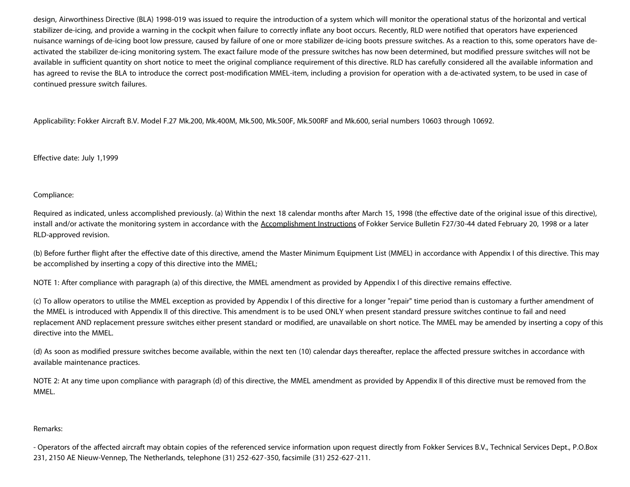design, Airworthiness Directive (BLA) 1998-019 was issued to require the introduction of a system which will monitor the operational status of the horizontal and vertical stabilizer de-icing, and provide a warning in the cockpit when failure to correctly inflate any boot occurs. Recently, RLD were notified that operators have experienced nuisance warnings of de-icing boot low pressure, caused by failure of one or more stabilizer de-icing boots pressure switches. As a reaction to this, some operators have deactivated the stabilizer de-icing monitoring system. The exact failure mode of the pressure switches has now been determined, but modified pressure switches will not be available in sufficient quantity on short notice to meet the original compliance requirement of this directive. RLD has carefully considered all the available information and has agreed to revise the BLA to introduce the correct post-modification MMEL-item, including a provision for operation with a de-activated system, to be used in case of continued pressure switch failures.

Applicability: Fokker Aircraft B.V. Model F.27 Mk.200, Mk.400M, Mk.500, Mk.500F, Mk.500RF and Mk.600, serial numbers 10603 through 10692.

Effective date: July 1,1999

#### Compliance:

Required as indicated, unless accomplished previously. (a) Within the next 18 calendar months after March 15, 1998 (the effective date of the original issue of this directive), install and/or activate the monitoring system in accordance with the Accomplishment Instructions of Fokker Service Bulletin F27/30-44 dated February 20, 1998 or a later RLD-approved revision.

(b) Before further flight after the effective date of this directive, amend the Master Minimum Equipment List (MMEL) in accordance with Appendix I of this directive. This may be accomplished by inserting a copy of this directive into the MMEL;

NOTE 1: After compliance with paragraph (a) of this directive, the MMEL amendment as provided by Appendix I of this directive remains effective.

(c) To allow operators to utilise the MMEL exception as provided by Appendix I of this directive for a longer "repair" time period than is customary a further amendment of the MMEL is introduced with Appendix II of this directive. This amendment is to be used ONLY when present standard pressure switches continue to fail and need replacement AND replacement pressure switches either present standard or modified, are unavailable on short notice. The MMEL may be amended by inserting a copy of this directive into the MMEL.

(d) As soon as modified pressure switches become available, within the next ten (10) calendar days thereafter, replace the affected pressure switches in accordance with available maintenance practices.

NOTE 2: At any time upon compliance with paragraph (d) of this directive, the MMEL amendment as provided by Appendix II of this directive must be removed from the MMEL.

#### Remarks:

- Operators of the affected aircraft may obtain copies of the referenced service information upon request directly from Fokker Services B.V., Technical Services Dept., P.O.Box 231, 2150 AE Nieuw-Vennep, The Netherlands, telephone (31) 252-627-350, facsimile (31) 252-627-211.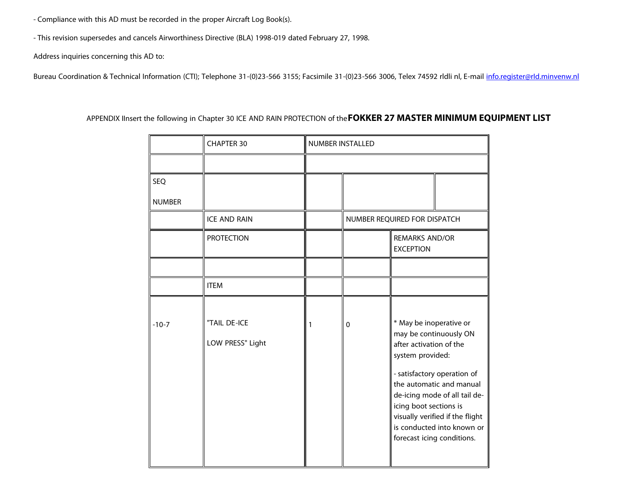- Compliance with this AD must be recorded in the proper Aircraft Log Book(s).

- This revision supersedes and cancels Airworthiness Directive (BLA) 1998-019 dated February 27, 1998.

Address inquiries concerning this AD to:

Bureau Coordination & Technical Information (CTI); Telephone 31-(0)23-566 3155; Facsimile 31-(0)23-566 3006, Telex 74592 rldli nl, E-mail *info.register@rld.minvenw.nl* 

### APPENDIX IInsert the following in Chapter 30 ICE AND RAIN PROTECTION of the**FOKKER 27 MASTER MINIMUM EQUIPMENT LIST**

|               | <b>CHAPTER 30</b>                | NUMBER INSTALLED |   |                                                                                                                                                             |  |
|---------------|----------------------------------|------------------|---|-------------------------------------------------------------------------------------------------------------------------------------------------------------|--|
|               |                                  |                  |   |                                                                                                                                                             |  |
| <b>SEQ</b>    |                                  |                  |   |                                                                                                                                                             |  |
| <b>NUMBER</b> |                                  |                  |   |                                                                                                                                                             |  |
|               | <b>ICE AND RAIN</b>              |                  |   | NUMBER REQUIRED FOR DISPATCH                                                                                                                                |  |
|               | <b>PROTECTION</b>                |                  |   | <b>REMARKS AND/OR</b><br><b>EXCEPTION</b>                                                                                                                   |  |
|               |                                  |                  |   |                                                                                                                                                             |  |
|               | <b>ITEM</b>                      |                  |   |                                                                                                                                                             |  |
|               |                                  |                  |   |                                                                                                                                                             |  |
| $-10-7$       | "TAIL DE-ICE<br>LOW PRESS" Light | 1                | 0 | * May be inoperative or<br>may be continuously ON<br>after activation of the<br>system provided:<br>- satisfactory operation of<br>the automatic and manual |  |
|               |                                  |                  |   | de-icing mode of all tail de-<br>icing boot sections is<br>visually verified if the flight<br>is conducted into known or<br>forecast icing conditions.      |  |